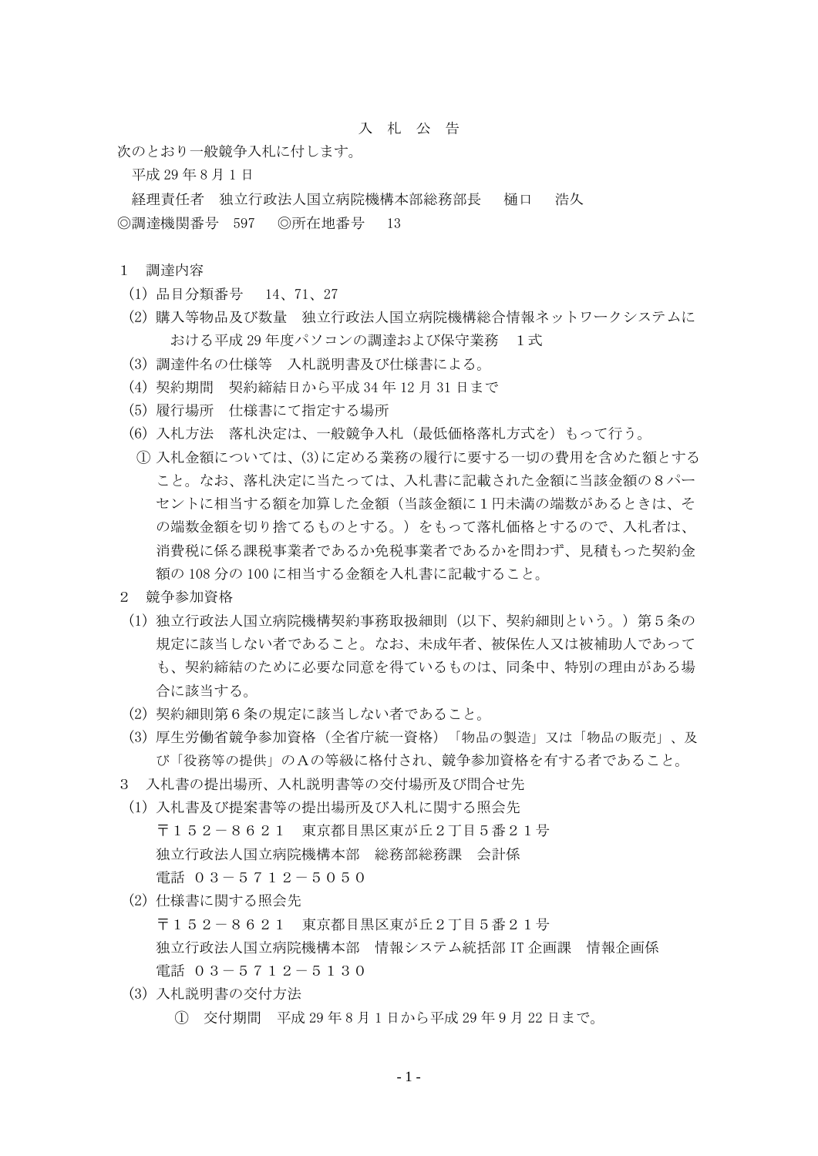## 入 札 公 告

次のとおり一般競争入札に付します。

平成 29 年 8 月 1 日

経理責任者 独立行政法人国立病院機構本部総務部長 樋口 浩久 ◎調達機関番号 597 ◎所在地番号 13

## 1 調達内容

- (1) 品目分類番号 14、71、27
- (2) 購入等物品及び数量 独立行政法人国立病院機構総合情報ネットワークシステムに おける平成29年度パソコンの調達および保守業務 1式
- (3) 調達件名の仕様等 入札説明書及び仕様書による。
- (4) 契約期間 契約締結日から平成 34 年 12 月 31 日まで
- (5) 履行場所 仕様書にて指定する場所
- (6) 入札方法 落札決定は、一般競争入札(最低価格落札方式を)もって行う。
- ① 入札金額については、(3)に定める業務の履行に要する一切の費用を含めた額とする こと。なお、落札決定に当たっては、入札書に記載された金額に当該金額の8パー セントに相当する額を加算した金額(当該金額に1円未満の端数があるときは、そ の端数金額を切り捨てるものとする。)をもって落札価格とするので、入札者は、 消費税に係る課税事業者であるか免税事業者であるかを問わず、見積もった契約金 額の 108 分の 100 に相当する金額を入札書に記載すること。
- 2 競争参加資格
- (1) 独立行政法人国立病院機構契約事務取扱細則(以下、契約細則という。)第5条の 規定に該当しない者であること。なお、未成年者、被保佐人又は被補助人であって も、契約締結のために必要な同意を得ているものは、同条中、特別の理由がある場 合に該当する。
- (2) 契約細則第6条の規定に該当しない者であること。
- (3) 厚生労働省競争参加資格(全省庁統一資格)「物品の製造」又は「物品の販売」、及 び「役務等の提供」のAの等級に格付され、競争参加資格を有する者であること。
- 3 入札書の提出場所、入札説明書等の交付場所及び問合せ先
- (1) 入札書及び提案書等の提出場所及び入札に関する照会先 〒152-8621 東京都目黒区東が丘2丁目5番21号 独立行政法人国立病院機構本部 総務部総務課 会計係 電話 03-5712-5050
- (2) 仕様書に関する照会先 〒152-8621 東京都目黒区東が丘2丁目5番21号 独立行政法人国立病院機構本部 情報システム統括部 IT 企画課 情報企画係 電話 03-5712-5130
- (3) 入札説明書の交付方法
	- ① 交付期間 平成 29 年 8 月 1 日から平成 29 年 9 月 22 日まで。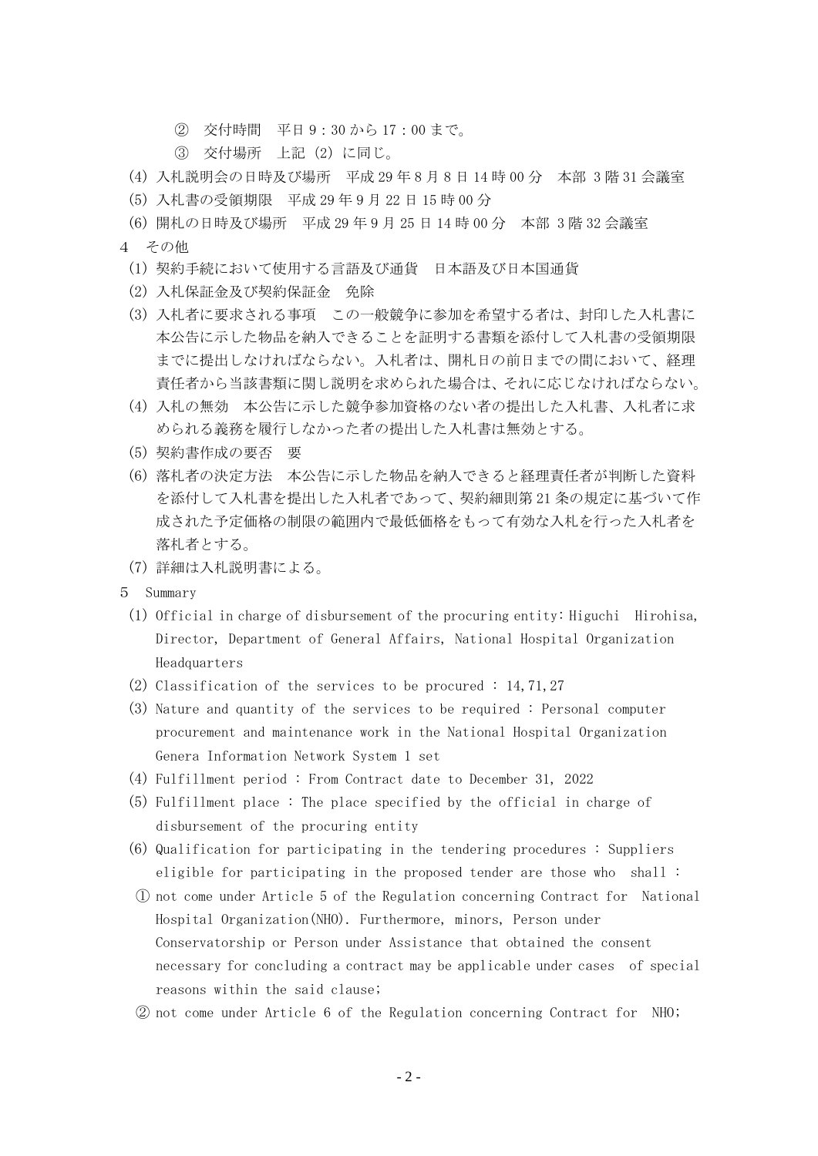- ② 交付時間 平日 9:30 から 17:00 まで。
- ③ 交付場所 上記(2)に同じ。
- (4) 入札説明会の日時及び場所 平成 29 年 8 月 8 日 14 時 00 分 本部 3 階 31 会議室
- (5) 入札書の受領期限 平成 29 年 9 月 22 日 15 時 00 分
- (6) 開札の日時及び場所 平成 29 年 9 月 25 日 14 時 00 分 本部 3 階 32 会議室
- 4 その他
	- (1) 契約手続において使用する言語及び通貨 日本語及び日本国通貨
	- (2) 入札保証金及び契約保証金 免除
	- (3) 入札者に要求される事項 この一般競争に参加を希望する者は、封印した入札書に 本公告に示した物品を納入できることを証明する書類を添付して入札書の受領期限 までに提出しなければならない。入札者は、開札日の前日までの間において、経理 責任者から当該書類に関し説明を求められた場合は、それに応じなければならない。
	- (4) 入札の無効 本公告に示した競争参加資格のない者の提出した入札書、入札者に求 められる義務を履行しなかった者の提出した入札書は無効とする。
	- (5) 契約書作成の要否 要
	- (6) 落札者の決定方法 本公告に示した物品を納入できると経理責任者が判断した資料 を添付して入札書を提出した入札者であって、契約細則第 21 条の規定に基づいて作 成された予定価格の制限の範囲内で最低価格をもって有効な入札を行った入札者を 落札者とする。
	- (7) 詳細は入札説明書による。
- 5 Summary
	- (1) Official in charge of disbursement of the procuring entity: Higuchi Hirohisa, Director, Department of General Affairs, National Hospital Organization Headquarters
	- (2) Classification of the services to be procured : 14,71,27
	- (3) Nature and quantity of the services to be required : Personal computer procurement and maintenance work in the National Hospital Organization Genera Information Network System 1 set
	- (4) Fulfillment period : From Contract date to December 31, 2022
	- (5) Fulfillment place : The place specified by the official in charge of disbursement of the procuring entity
	- (6) Qualification for participating in the tendering procedures : Suppliers eligible for participating in the proposed tender are those who shall :
	- ① not come under Article 5 of the Regulation concerning Contract for National Hospital Organization(NHO). Furthermore, minors, Person under Conservatorship or Person under Assistance that obtained the consent necessary for concluding a contract may be applicable under cases of special reasons within the said clause;
	- ② not come under Article 6 of the Regulation concerning Contract for NHO;